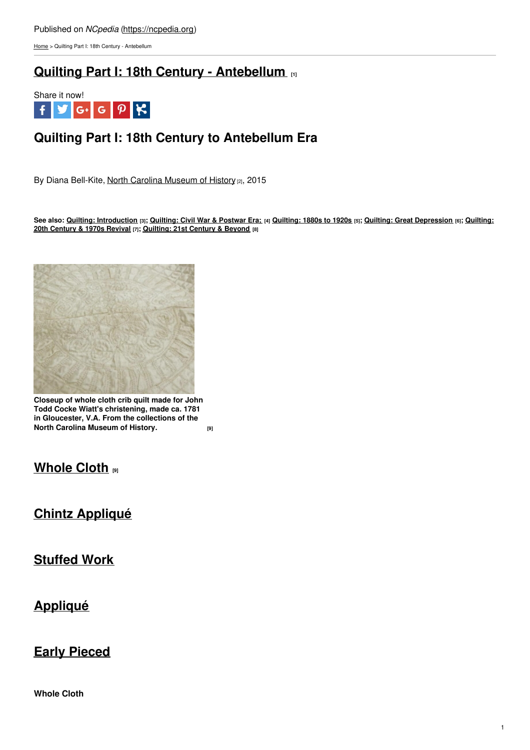[Home](https://ncpedia.org/) > Quilting Part I: 18th Century - Antebellum

# **Quilting Part I: 18th Century - [Antebellum](https://ncpedia.org/quilting-part-i-18th-century) [1]**



# **Quilting Part I: 18th Century to Antebellum Era**

By Diana Bell-Kite, North Carolina [Museum](https://www.ncmuseumofhistory.org/) of History [2], 2015

See also: Quilting: [Introduction](https://ncpedia.org/quilting-part-v-20th-century-and) [3]; [Quilting:](https://ncpedia.org/quilting-part-iii-1880s-1920s) Civil War & Postwar Era; [4] Quilting: 1880s to 1920s [5]; Quilting: Great [Depression](https://ncpedia.org/quilting-part-iv-great-depression) [6]; Quilting: **20th Century & 1970s Revival [7]; [Quilting:](https://ncpedia.org/quilting-part-vi-21st-century-and) 21st [Century](http://www.social9.com) & Beyond [8]**



**Closeup of whole cloth crib quilt made for John Todd Cocke Wiatt's christening, made ca. 1781 in Gloucester, V.A. From the collections of the North Carolina [Museum](https://collections.ncdcr.gov/RediscoveryProficioPublicSearch/ShowItem.aspx?82210+&82210+) of History.** *<b>P* 

## **[Whole](https://collections.ncdcr.gov/RediscoveryProficioPublicSearch/ShowItem.aspx?82210+&82210+) Cloth [9]**

# **Chintz [Appliqué](https://ncpedia.org/quilting-part-i-18th-century#Chintz Appliqu�)**

## **[Stuffed](https://ncpedia.org/quilting-part-i-18th-century#Stuffed Work) Work**

## **[Appliqué](https://ncpedia.org/quilting-part-i-18th-century#Appliqu�)**

## **Early [Pieced](https://ncpedia.org/quilting-part-i-18th-century#Early Pieced)**

**Whole Cloth**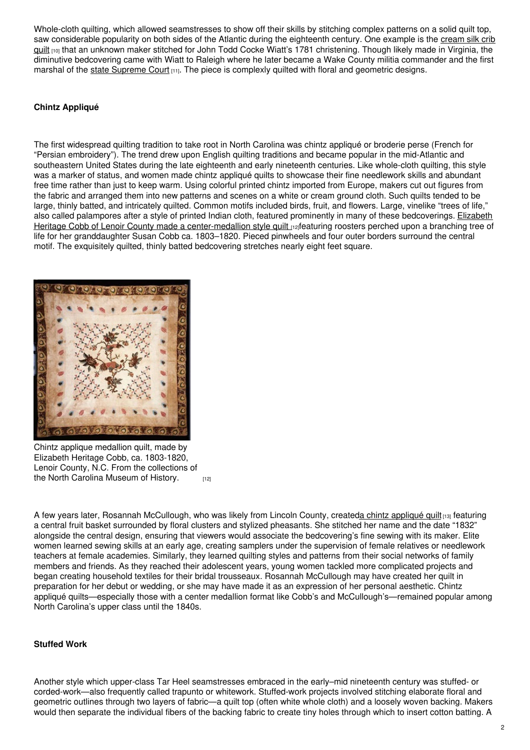Whole-cloth quilting, which allowed seamstresses to show off their skills by stitching complex patterns on a solid quilt top. saw [considerable](https://collections.ncdcr.gov/RediscoveryProficioPublicSearch/ShowItem.aspx?17941+&17941+) popularity on both sides of the Atlantic during the eighteenth century. One example is the cream silk crib quilt  $100$  that an unknown maker stitched for John Todd Cocke Wiatt's 1781 christening. Though likely made in Virginia, the diminutive bedcovering came with Wiatt to Raleigh where he later became a Wake County militia commander and the first marshal of the state [Supreme](https://ncpedia.org/supreme-court-north-carolina) Court [11]. The piece is complexly quilted with floral and geometric designs.

### **Chintz Appliqué**

The first widespread quilting tradition to take root in North Carolina was chintz appliqué or broderie perse (French for "Persian embroidery"). The trend drew upon English quilting traditions and became popular in the mid-Atlantic and southeastern United States during the late eighteenth and early nineteenth centuries. Like whole-cloth quilting, this style was a marker of status, and women made chintz appliqué quilts to showcase their fine needlework skills and abundant free time rather than just to keep warm. Using colorful printed chintz imported from Europe, makers cut out figures from the fabric and arranged them into new patterns and scenes on a white or cream ground cloth. Such quilts tended to be large, thinly batted, and intricately quilted. Common motifs included birds, fruit, and flowers. Large, vinelike "trees of life," also called palampores after a style of printed Indian cloth, featured prominently in many of these bedcoverings. Elizabeth Heritage Cobb of Lenoir County made a [center-medallion](https://collections.ncdcr.gov/RediscoveryProficioPublicSearch/ShowItem.aspx?37287+&37287+) style quilt nateaturing roosters perched upon a branching tree of life for her granddaughter Susan Cobb ca. 1803–1820. Pieced pinwheels and four outer borders surround the central motif. The exquisitely quilted, thinly batted bedcovering stretches nearly eight feet square.



Chintz applique medallion quilt, made by Elizabeth Heritage Cobb, ca. 1803-1820, Lenoir County, N.C. From the collections of the North Carolina [Museum](https://collections.ncdcr.gov/RediscoveryProficioPublicSearch/ShowItem.aspx?37287+&37287+) of History. **[12]** 

A few years later, Rosannah McCullough, who was likely from Lincoln County, createda chintz [appliqué](https://collections.ncdcr.gov/RediscoveryProficioPublicSearch/ShowItem.aspx?312479+&312479+) quilt [13] featuring a central fruit basket surrounded by floral clusters and stylized pheasants. She stitched her name and the date "1832" alongside the central design, ensuring that viewers would associate the bedcovering's fine sewing with its maker. Elite women learned sewing skills at an early age, creating samplers under the supervision of female relatives or needlework teachers at female academies. Similarly, they learned quilting styles and patterns from their social networks of family members and friends. As they reached their adolescent years, young women tackled more complicated projects and began creating household textiles for their bridal trousseaux. Rosannah McCullough may have created her quilt in preparation for her debut or wedding, or she may have made it as an expression of her personal aesthetic. Chintz appliqué quilts—especially those with a center medallion format like Cobb's and McCullough's—remained popular among North Carolina's upper class until the 1840s.

### **Stuffed Work**

Another style which upper-class Tar Heel seamstresses embraced in the early–mid nineteenth century was stuffed- or corded-work—also frequently called trapunto or whitework. Stuffed-work projects involved stitching elaborate floral and geometric outlines through two layers of fabric—a quilt top (often white whole cloth) and a loosely woven backing. Makers would then separate the individual fibers of the backing fabric to create tiny holes through which to insert cotton batting. A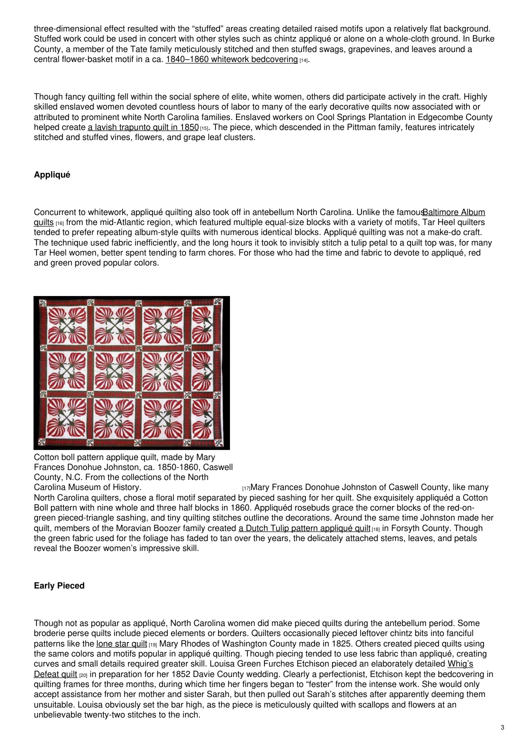three-dimensional effect resulted with the "stuffed" areas creating detailed raised motifs upon a relatively flat background. Stuffed work could be used in concert with other styles such as chintz appliqué or alone on a whole-cloth ground. In Burke County, a member of the Tate family meticulously stitched and then stuffed swags, grapevines, and leaves around a central flower-basket motif in a ca. 1840–1860 whitework [bedcovering](https://collections.ncdcr.gov/RediscoveryProficioPublicSearch/ShowItem.aspx?50377+&50377+) [14].

Though fancy quilting fell within the social sphere of elite, white women, others did participate actively in the craft. Highly skilled enslaved women devoted countless hours of labor to many of the early decorative quilts now associated with or attributed to prominent white North Carolina families. Enslaved workers on Cool Springs Plantation in Edgecombe County helped create a lavish [trapunto](https://collections.ncdcr.gov/RediscoveryProficioPublicSearch/ShowItem.aspx?45152+&45152+) quilt in 1850<sub>[15]</sub>. The piece, which descended in the Pittman family, features intricately stitched and stuffed vines, flowers, and grape leaf clusters.

### **Appliqué**

Concurrent to whitework, appliqué quilting also took off in antebellum North Carolina. Unlike the [famousBaltimore](https://www.pinterest.com/quiltinspire/baltimore-album-quilts/) Album quilts  $116$  from the mid-Atlantic region, which featured multiple equal-size blocks with a variety of motifs. Tar Heel quilters tended to prefer repeating album-style quilts with numerous identical blocks. Appliqué quilting was not a make-do craft. The technique used fabric inefficiently, and the long hours it took to invisibly stitch a tulip petal to a quilt top was, for many Tar Heel women, better spent tending to farm chores. For those who had the time and fabric to devote to appliqué, red and green proved popular colors.



Cotton boll pattern applique quilt, made by Mary Frances Donohue Johnston, ca. 1850-1860, Caswell County, N.C. From the collections of the North

Carolina [Museum](https://collections.ncdcr.gov/RediscoveryProficioPublicSearch/ShowItem.aspx?57944+&57944+) of History. **[17]Mary Frances Donohue Johnston of Caswell County, like many** North Carolina quilters, chose a floral motif separated by pieced sashing for her quilt. She exquisitely appliquéd a Cotton Boll pattern with nine whole and three half blocks in 1860. Appliquéd rosebuds grace the corner blocks of the red-ongreen pieced-triangle sashing, and tiny quilting stitches outline the decorations. Around the same time Johnston made her quilt, members of the Moravian Boozer family created a Dutch Tulip pattern [appliqué](https://collections.ncdcr.gov/RediscoveryProficioPublicSearch/ShowItem.aspx?36556+&36556+) quilt<sub>[18]</sub> in Forsyth County. Though the green fabric used for the foliage has faded to tan over the years, the delicately attached stems, leaves, and petals reveal the Boozer women's impressive skill.

### **Early Pieced**

Though not as popular as appliqué, North Carolina women did make pieced quilts during the antebellum period. Some broderie perse quilts include pieced elements or borders. Quilters occasionally pieced leftover chintz bits into fanciful patterns like the [lone](https://collections.ncdcr.gov/RediscoveryProficioPublicSearch/ShowItem.aspx?40624+&40624+) star quilt [19] Mary Rhodes of Washington County made in 1825. Others created pieced quilts using the same colors and motifs popular in appliqué quilting. Though piecing tended to use less fabric than appliqué, creating curves and small details required greater skill. Louisa Green Furches Etchison pieced an elaborately detailed Whig's Defeat quilt (20) in preparation for her 1852 Davie County wedding. Clearly a [perfectionist,](https://collections.ncdcr.gov/RediscoveryProficioPublicSearch/ShowItem.aspx?25361+&25361+) Etchison kept the bedcovering in quilting frames for three months, during which time her fingers began to "fester" from the intense work. She would only accept assistance from her mother and sister Sarah, but then pulled out Sarah's stitches after apparently deeming them unsuitable. Louisa obviously set the bar high, as the piece is meticulously quilted with scallops and flowers at an unbelievable twenty-two stitches to the inch.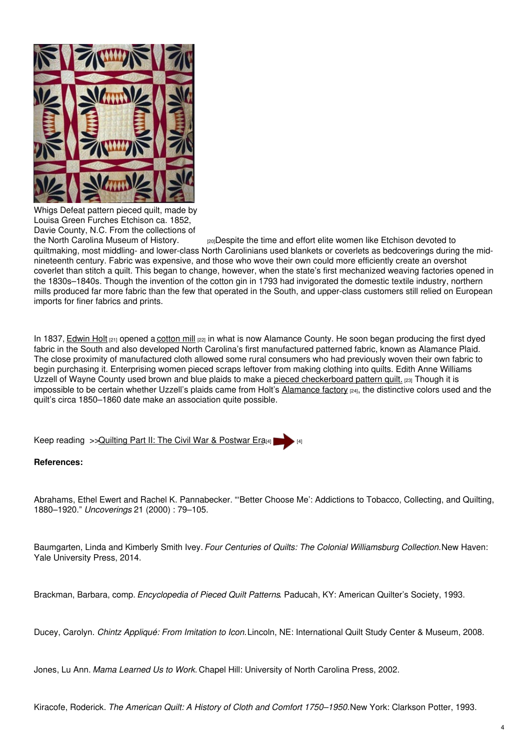

Whigs Defeat pattern pieced quilt, made by Louisa Green Furches Etchison ca. 1852, Davie County, N.C. From the collections of

the North Carolina [Museum](https://collections.ncdcr.gov/RediscoveryProficioPublicSearch/ShowItem.aspx?25361+&25361+) of History. <sup>[20]</sup>Despite the time and effort elite women like Etchison devoted to quiltmaking, most middling- and lower-class North Carolinians used blankets or coverlets as bedcoverings during the midnineteenth century. Fabric was expensive, and those who wove their own could more efficiently create an overshot coverlet than stitch a quilt. This began to change, however, when the state's first mechanized weaving factories opened in the 1830s–1840s. Though the invention of the cotton gin in 1793 had invigorated the domestic textile industry, northern mills produced far more fabric than the few that operated in the South, and upper-class customers still relied on European imports for finer fabrics and prints.

In 1837, [Edwin](https://ncpedia.org/biography/holt-edwin-michael) Holt [21] opened a [cotton](https://ncpedia.org/cotton-mills) mill [22] in what is now Alamance County. He soon began producing the first dyed fabric in the South and also developed North Carolina's first manufactured patterned fabric, known as Alamance Plaid. The close proximity of manufactured cloth allowed some rural consumers who had previously woven their own fabric to begin purchasing it. Enterprising women pieced scraps leftover from making clothing into quilts. Edith Anne Williams Uzzell of Wayne County used brown and blue plaids to make a pieced [checkerboard](https://collections.ncdcr.gov/RediscoveryProficioPublicSearch/ShowItem.aspx?89521+&89521+) pattern quilt. [23] Though it is impossible to be certain whether Uzzell's plaids came from Holt's [Alamance](https://ncpedia.org/alamance-mills) factory <sub>[24]</sub>, the distinctive colors used and the quilt's circa 1850–1860 date make an association quite possible.

Keep reading >> Quilting Part II: The Civil War & [Postwar](https://ncpedia.org/quilting-part-ii-civil-war-postwar) Era[4]

### **References:**

Abrahams, Ethel Ewert and Rachel K. Pannabecker. "'Better Choose Me': Addictions to Tobacco, Collecting, and Quilting, 1880–1920." *Uncoverings* 21 (2000) : 79–105.

Baumgarten, Linda and Kimberly Smith Ivey. *Four Centuries of Quilts: The Colonial Williamsburg Collection.*New Haven: Yale University Press, 2014.

Brackman, Barbara, comp. *Encyclopedia of Pieced Quilt Patterns*. Paducah, KY: American Quilter's Society, 1993.

Ducey, Carolyn. *Chintz Appliqué: From Imitation to Icon.*Lincoln, NE: International Quilt Study Center & Museum, 2008.

Jones, Lu Ann. *Mama Learned Us to Work.* Chapel Hill: University of North Carolina Press, 2002.

Kiracofe, Roderick. *The American Quilt: A History of Cloth and Comfort 1750–1950.*New York: Clarkson Potter, 1993.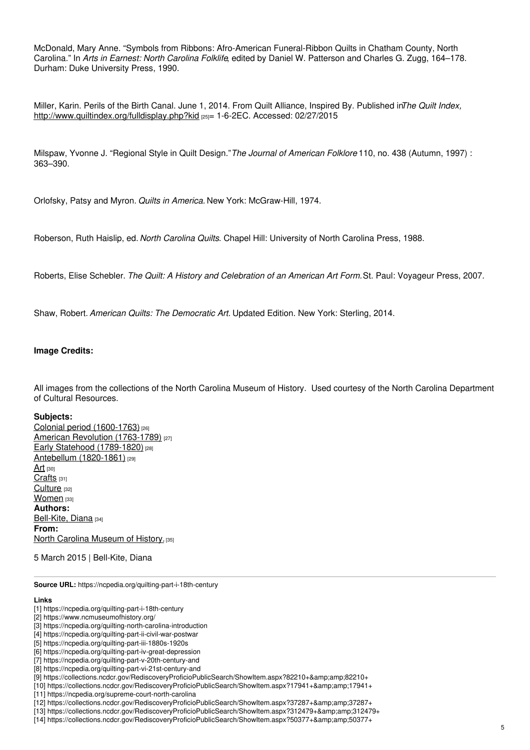McDonald, Mary Anne. "Symbols from Ribbons: Afro-American Funeral-Ribbon Quilts in Chatham County, North Carolina." In *Arts in Earnest: North Carolina Folklife*, edited by Daniel W. Patterson and Charles G. Zugg, 164–178. Durham: Duke University Press, 1990.

Miller, Karin. Perils of the Birth Canal. June 1, 2014. From Quilt Alliance, Inspired By. Published in*The Quilt Index,* <http://www.quiltindex.org/fulldisplay.php?kid> [25]= 1-6-2EC. Accessed: 02/27/2015

Milspaw, Yvonne J. "Regional Style in Quilt Design."*The Journal of American Folklore* 110, no. 438 (Autumn, 1997) : 363–390.

Orlofsky, Patsy and Myron. *Quilts in America.* New York: McGraw-Hill, 1974.

Roberson, Ruth Haislip, ed. *North Carolina Quilts*. Chapel Hill: University of North Carolina Press, 1988.

Roberts, Elise Schebler. *The Quilt: A History and Celebration of an American Art Form.*St. Paul: Voyageur Press, 2007.

Shaw, Robert. *American Quilts: The Democratic Art.* Updated Edition. New York: Sterling, 2014.

#### **Image Credits:**

All images from the collections of the North Carolina Museum of History. Used courtesy of the North Carolina Department of Cultural Resources.

#### **Subjects:**

Colonial period [\(1600-1763\)](https://ncpedia.org/category/subjects/colonial-period) [26] American Revolution [\(1763-1789\)](https://ncpedia.org/category/subjects/us-revolution) [27] Early Statehood [\(1789-1820\)](https://ncpedia.org/category/subjects/early-statehood-1) [28] Antebellum [\(1820-1861\)](https://ncpedia.org/category/subjects/antebellum-1820-1) [29] [Art](https://ncpedia.org/category/subjects/art) [30] [Crafts](https://ncpedia.org/category/subjects/crafts) [31] [Culture](https://ncpedia.org/category/subjects/culture) [32] [Women](https://ncpedia.org/category/subjects/women) [33] **Authors:** [Bell-Kite,](https://ncpedia.org/category/authors/bell-kite-diana) Diana [34] **From:** North Carolina [Museum](https://ncpedia.org/category/entry-source/north-1) of History. [35]

5 March 2015 | Bell-Kite, Diana

**Source URL:** https://ncpedia.org/quilting-part-i-18th-century

#### **Links**

<sup>[1]</sup> https://ncpedia.org/quilting-part-i-18th-century

<sup>[2]</sup> https://www.ncmuseumofhistory.org/

<sup>[3]</sup> https://ncpedia.org/quilting-north-carolina-introduction

<sup>[4]</sup> https://ncpedia.org/quilting-part-ii-civil-war-postwar

<sup>[5]</sup> https://ncpedia.org/quilting-part-iii-1880s-1920s

<sup>[6]</sup> https://ncpedia.org/quilting-part-iv-great-depression

<sup>[7]</sup> https://ncpedia.org/quilting-part-v-20th-century-and

<sup>[8]</sup> https://ncpedia.org/quilting-part-vi-21st-century-and

<sup>[9]</sup> https://collections.ncdcr.gov/RediscoveryProficioPublicSearch/ShowItem.aspx?82210+&82210+

<sup>[10]</sup> https://collections.ncdcr.gov/RediscoveryProficioPublicSearch/ShowItem.aspx?17941+&17941+

<sup>[11]</sup> https://ncpedia.org/supreme-court-north-carolina

<sup>[12]</sup> https://collections.ncdcr.gov/RediscoveryProficioPublicSearch/ShowItem.aspx?37287+&37287+

<sup>[13]</sup> https://collections.ncdcr.gov/RediscoveryProficioPublicSearch/ShowItem.aspx?312479+&312479+

<sup>[14]</sup> https://collections.ncdcr.gov/RediscoveryProficioPublicSearch/ShowItem.aspx?50377+&50377+